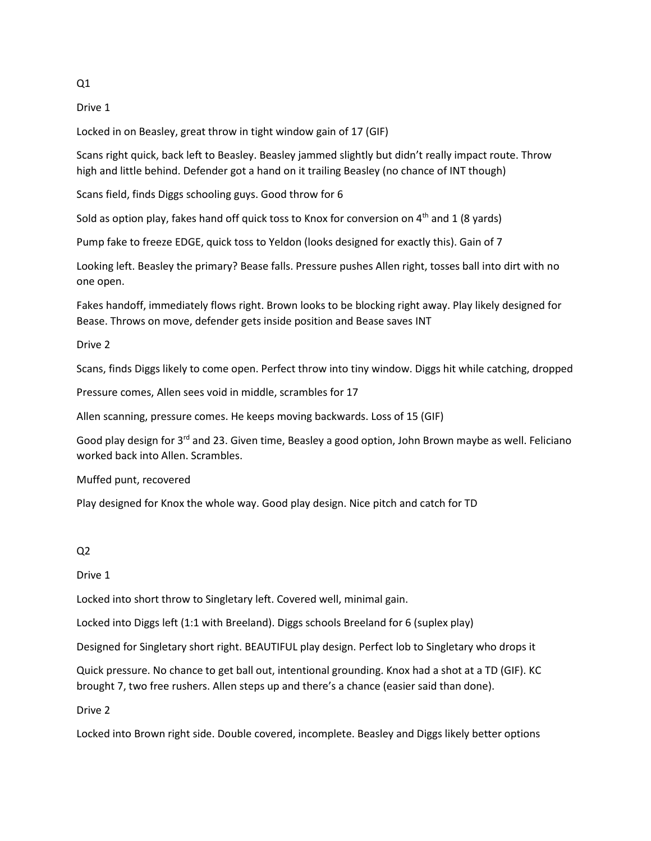$Q1$ 

Drive 1

Locked in on Beasley, great throw in tight window gain of 17 (GIF)

Scans right quick, back left to Beasley. Beasley jammed slightly but didn't really impact route. Throw high and little behind. Defender got a hand on it trailing Beasley (no chance of INT though)

Scans field, finds Diggs schooling guys. Good throw for 6

Sold as option play, fakes hand off quick toss to Knox for conversion on  $4<sup>th</sup>$  and 1 (8 yards)

Pump fake to freeze EDGE, quick toss to Yeldon (looks designed for exactly this). Gain of 7

Looking left. Beasley the primary? Bease falls. Pressure pushes Allen right, tosses ball into dirt with no one open.

Fakes handoff, immediately flows right. Brown looks to be blocking right away. Play likely designed for Bease. Throws on move, defender gets inside position and Bease saves INT

Drive 2

Scans, finds Diggs likely to come open. Perfect throw into tiny window. Diggs hit while catching, dropped

Pressure comes, Allen sees void in middle, scrambles for 17

Allen scanning, pressure comes. He keeps moving backwards. Loss of 15 (GIF)

Good play design for 3<sup>rd</sup> and 23. Given time, Beasley a good option, John Brown maybe as well. Feliciano worked back into Allen. Scrambles.

Muffed punt, recovered

Play designed for Knox the whole way. Good play design. Nice pitch and catch for TD

## $Q<sub>2</sub>$

Drive 1

Locked into short throw to Singletary left. Covered well, minimal gain.

Locked into Diggs left (1:1 with Breeland). Diggs schools Breeland for 6 (suplex play)

Designed for Singletary short right. BEAUTIFUL play design. Perfect lob to Singletary who drops it

Quick pressure. No chance to get ball out, intentional grounding. Knox had a shot at a TD (GIF). KC brought 7, two free rushers. Allen steps up and there's a chance (easier said than done).

Drive 2

Locked into Brown right side. Double covered, incomplete. Beasley and Diggs likely better options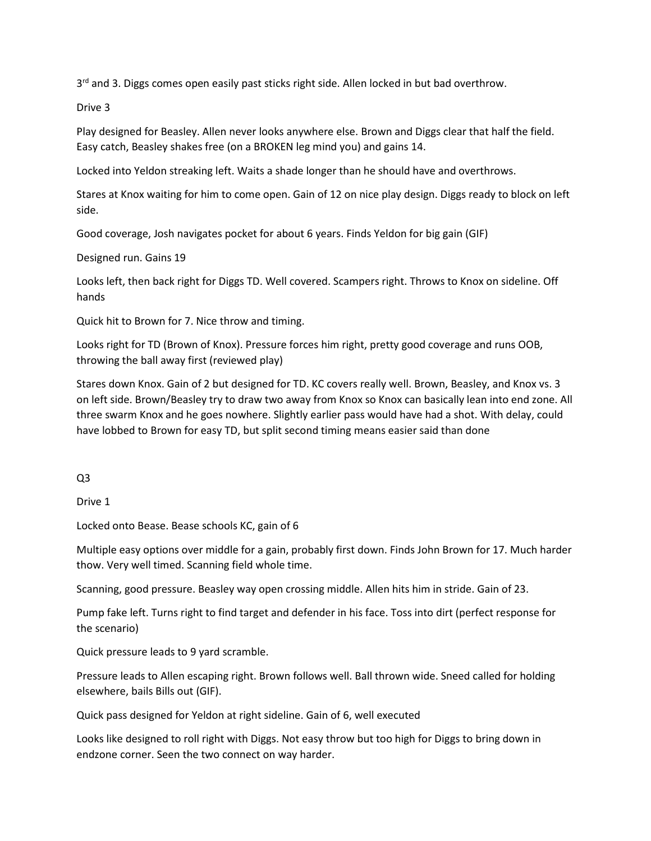3<sup>rd</sup> and 3. Diggs comes open easily past sticks right side. Allen locked in but bad overthrow.

Drive 3

Play designed for Beasley. Allen never looks anywhere else. Brown and Diggs clear that half the field. Easy catch, Beasley shakes free (on a BROKEN leg mind you) and gains 14.

Locked into Yeldon streaking left. Waits a shade longer than he should have and overthrows.

Stares at Knox waiting for him to come open. Gain of 12 on nice play design. Diggs ready to block on left side.

Good coverage, Josh navigates pocket for about 6 years. Finds Yeldon for big gain (GIF)

Designed run. Gains 19

Looks left, then back right for Diggs TD. Well covered. Scampers right. Throws to Knox on sideline. Off hands

Quick hit to Brown for 7. Nice throw and timing.

Looks right for TD (Brown of Knox). Pressure forces him right, pretty good coverage and runs OOB, throwing the ball away first (reviewed play)

Stares down Knox. Gain of 2 but designed for TD. KC covers really well. Brown, Beasley, and Knox vs. 3 on left side. Brown/Beasley try to draw two away from Knox so Knox can basically lean into end zone. All three swarm Knox and he goes nowhere. Slightly earlier pass would have had a shot. With delay, could have lobbed to Brown for easy TD, but split second timing means easier said than done

Q3

Drive 1

Locked onto Bease. Bease schools KC, gain of 6

Multiple easy options over middle for a gain, probably first down. Finds John Brown for 17. Much harder thow. Very well timed. Scanning field whole time.

Scanning, good pressure. Beasley way open crossing middle. Allen hits him in stride. Gain of 23.

Pump fake left. Turns right to find target and defender in his face. Toss into dirt (perfect response for the scenario)

Quick pressure leads to 9 yard scramble.

Pressure leads to Allen escaping right. Brown follows well. Ball thrown wide. Sneed called for holding elsewhere, bails Bills out (GIF).

Quick pass designed for Yeldon at right sideline. Gain of 6, well executed

Looks like designed to roll right with Diggs. Not easy throw but too high for Diggs to bring down in endzone corner. Seen the two connect on way harder.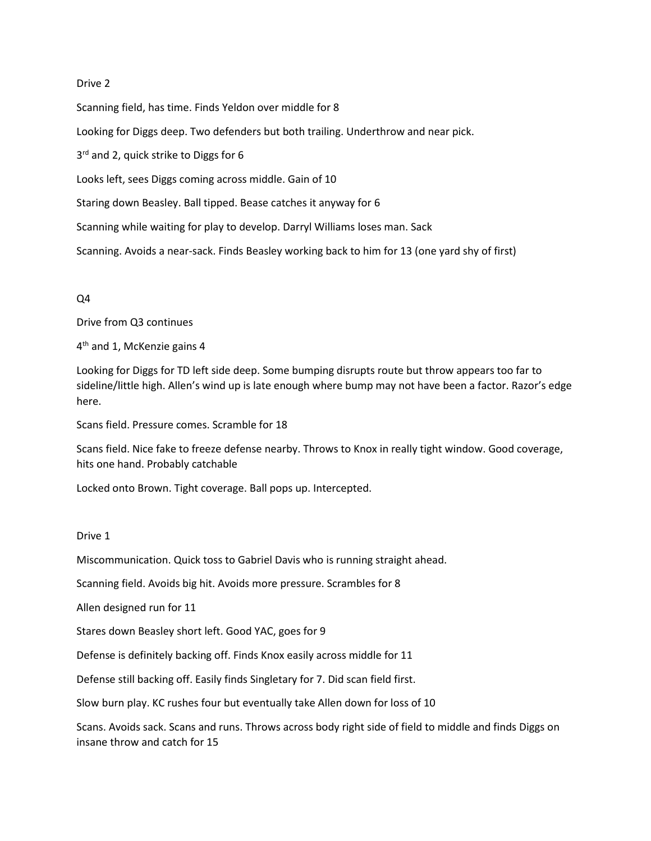## Drive 2

Scanning field, has time. Finds Yeldon over middle for 8 Looking for Diggs deep. Two defenders but both trailing. Underthrow and near pick. 3<sup>rd</sup> and 2, quick strike to Diggs for 6 Looks left, sees Diggs coming across middle. Gain of 10 Staring down Beasley. Ball tipped. Bease catches it anyway for 6 Scanning while waiting for play to develop. Darryl Williams loses man. Sack Scanning. Avoids a near-sack. Finds Beasley working back to him for 13 (one yard shy of first)

## Q4

Drive from Q3 continues

4<sup>th</sup> and 1, McKenzie gains 4

Looking for Diggs for TD left side deep. Some bumping disrupts route but throw appears too far to sideline/little high. Allen's wind up is late enough where bump may not have been a factor. Razor's edge here.

Scans field. Pressure comes. Scramble for 18

Scans field. Nice fake to freeze defense nearby. Throws to Knox in really tight window. Good coverage, hits one hand. Probably catchable

Locked onto Brown. Tight coverage. Ball pops up. Intercepted.

Drive 1

Miscommunication. Quick toss to Gabriel Davis who is running straight ahead.

Scanning field. Avoids big hit. Avoids more pressure. Scrambles for 8

Allen designed run for 11

Stares down Beasley short left. Good YAC, goes for 9

Defense is definitely backing off. Finds Knox easily across middle for 11

Defense still backing off. Easily finds Singletary for 7. Did scan field first.

Slow burn play. KC rushes four but eventually take Allen down for loss of 10

Scans. Avoids sack. Scans and runs. Throws across body right side of field to middle and finds Diggs on insane throw and catch for 15